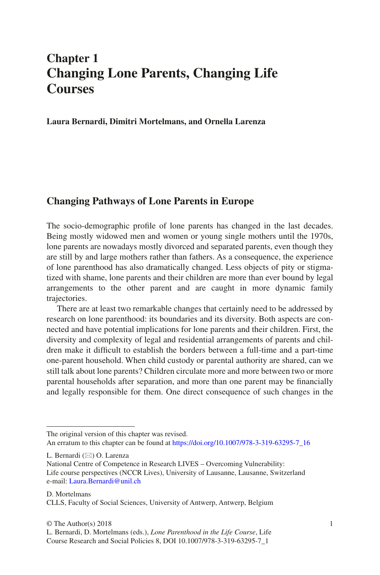# **Chapter 1 Changing Lone Parents, Changing Life Courses**

**Laura Bernardi, Dimitri Mortelmans, and Ornella Larenza**

# **Changing Pathways of Lone Parents in Europe**

The socio-demographic profile of lone parents has changed in the last decades. Being mostly widowed men and women or young single mothers until the 1970s, lone parents are nowadays mostly divorced and separated parents, even though they are still by and large mothers rather than fathers. As a consequence, the experience of lone parenthood has also dramatically changed. Less objects of pity or stigmatized with shame, lone parents and their children are more than ever bound by legal arrangements to the other parent and are caught in more dynamic family trajectories.

There are at least two remarkable changes that certainly need to be addressed by research on lone parenthood: its boundaries and its diversity. Both aspects are connected and have potential implications for lone parents and their children. First, the diversity and complexity of legal and residential arrangements of parents and children make it difficult to establish the borders between a full-time and a part-time one-parent household. When child custody or parental authority are shared, can we still talk about lone parents? Children circulate more and more between two or more parental households after separation, and more than one parent may be financially and legally responsible for them. One direct consequence of such changes in the

L. Bernardi (⊠) O. Larenza

The original version of this chapter was revised.

An erratum to this chapter can be found at [https://doi.org/10.1007/978-3-319-63295-7\\_16](https://doi.org/10.1007/978-3-319-63295-7_16)

National Centre of Competence in Research LIVES – Overcoming Vulnerability: Life course perspectives (NCCR Lives), University of Lausanne, Lausanne, Switzerland e-mail: [Laura.Bernardi@unil.ch](mailto:Laura.Bernardi@unil.ch)

D. Mortelmans CLLS, Faculty of Social Sciences, University of Antwerp, Antwerp, Belgium

L. Bernardi, D. Mortelmans (eds.), *Lone Parenthood in the Life Course*, Life Course Research and Social Policies 8, DOI 10.1007/978-3-319-63295-7\_1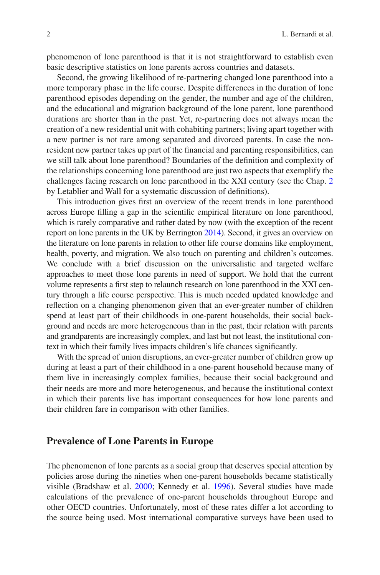phenomenon of lone parenthood is that it is not straightforward to establish even basic descriptive statistics on lone parents across countries and datasets.

Second, the growing likelihood of re-partnering changed lone parenthood into a more temporary phase in the life course. Despite differences in the duration of lone parenthood episodes depending on the gender, the number and age of the children, and the educational and migration background of the lone parent, lone parenthood durations are shorter than in the past. Yet, re-partnering does not always mean the creation of a new residential unit with cohabiting partners; living apart together with a new partner is not rare among separated and divorced parents. In case the nonresident new partner takes up part of the financial and parenting responsibilities, can we still talk about lone parenthood? Boundaries of the definition and complexity of the relationships concerning lone parenthood are just two aspects that exemplify the challenges facing research on lone parenthood in the XXI century (see the Chap. [2](https://doi.org/10.1007/978-3-319-63295-7_2) by Letablier and Wall for a systematic discussion of definitions).

This introduction gives first an overview of the recent trends in lone parenthood across Europe filling a gap in the scientific empirical literature on lone parenthood, which is rarely comparative and rather dated by now (with the exception of the recent report on lone parents in the UK by Berrington [2014\)](#page-21-0). Second, it gives an overview on the literature on lone parents in relation to other life course domains like employment, health, poverty, and migration. We also touch on parenting and children's outcomes. We conclude with a brief discussion on the universalistic and targeted welfare approaches to meet those lone parents in need of support. We hold that the current volume represents a first step to relaunch research on lone parenthood in the XXI century through a life course perspective. This is much needed updated knowledge and reflection on a changing phenomenon given that an ever-greater number of children spend at least part of their childhoods in one-parent households, their social background and needs are more heterogeneous than in the past, their relation with parents and grandparents are increasingly complex, and last but not least, the institutional context in which their family lives impacts children's life chances significantly.

With the spread of union disruptions, an ever-greater number of children grow up during at least a part of their childhood in a one-parent household because many of them live in increasingly complex families, because their social background and their needs are more and more heterogeneous, and because the institutional context in which their parents live has important consequences for how lone parents and their children fare in comparison with other families.

## **Prevalence of Lone Parents in Europe**

The phenomenon of lone parents as a social group that deserves special attention by policies arose during the nineties when one-parent households became statistically visible (Bradshaw et al. [2000;](#page-21-1) Kennedy et al. [1996\)](#page-23-0). Several studies have made calculations of the prevalence of one-parent households throughout Europe and other OECD countries. Unfortunately, most of these rates differ a lot according to the source being used. Most international comparative surveys have been used to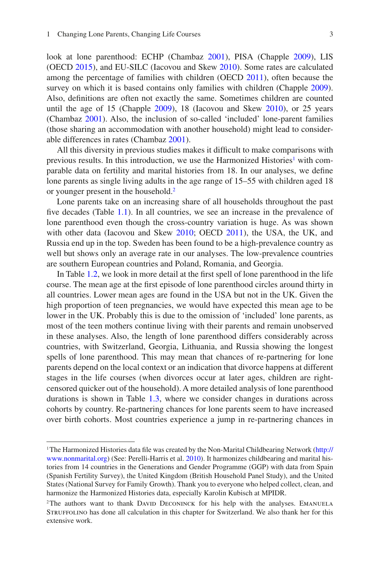look at lone parenthood: ECHP (Chambaz [2001\)](#page-22-0), PISA (Chapple [2009\)](#page-22-1), LIS (OECD [2015](#page-24-0)), and EU-SILC (Iacovou and Skew [2010](#page-23-1)). Some rates are calculated among the percentage of families with children (OECD [2011](#page-24-1)), often because the survey on which it is based contains only families with children (Chapple [2009\)](#page-22-1). Also, definitions are often not exactly the same. Sometimes children are counted until the age of 15 (Chapple [2009\)](#page-22-1), 18 (Iacovou and Skew [2010](#page-23-1)), or 25 years (Chambaz [2001](#page-22-0)). Also, the inclusion of so-called 'included' lone-parent families (those sharing an accommodation with another household) might lead to considerable differences in rates (Chambaz [2001\)](#page-22-0).

All this diversity in previous studies makes it difficult to make comparisons with previous results. In this introduction, we use the Harmonized Histories<sup>[1](#page-2-0)</sup> with comparable data on fertility and marital histories from 18. In our analyses, we define lone parents as single living adults in the age range of 15–55 with children aged 18 or younger present in the household.[2](#page-2-1)

Lone parents take on an increasing share of all households throughout the past five decades (Table [1.1](#page-3-0)). In all countries, we see an increase in the prevalence of lone parenthood even though the cross-country variation is huge. As was shown with other data (Iacovou and Skew [2010;](#page-23-1) OECD [2011\)](#page-24-1), the USA, the UK, and Russia end up in the top. Sweden has been found to be a high-prevalence country as well but shows only an average rate in our analyses. The low-prevalence countries are southern European countries and Poland, Romania, and Georgia.

In Table [1.2,](#page-4-0) we look in more detail at the first spell of lone parenthood in the life course. The mean age at the first episode of lone parenthood circles around thirty in all countries. Lower mean ages are found in the USA but not in the UK. Given the high proportion of teen pregnancies, we would have expected this mean age to be lower in the UK. Probably this is due to the omission of 'included' lone parents, as most of the teen mothers continue living with their parents and remain unobserved in these analyses. Also, the length of lone parenthood differs considerably across countries, with Switzerland, Georgia, Lithuania, and Russia showing the longest spells of lone parenthood. This may mean that chances of re-partnering for lone parents depend on the local context or an indication that divorce happens at different stages in the life courses (when divorces occur at later ages, children are rightcensored quicker out of the household). A more detailed analysis of lone parenthood durations is shown in Table [1.3](#page-5-0), where we consider changes in durations across cohorts by country. Re-partnering chances for lone parents seem to have increased over birth cohorts. Most countries experience a jump in re-partnering chances in

<span id="page-2-0"></span><sup>1</sup>The Harmonized Histories data file was created by the Non-Marital Childbearing Network [\(http://](http://www.nonmarital.org) [www.nonmarital.org\)](http://www.nonmarital.org) (See: Perelli-Harris et al. [2010](#page-24-2)). It harmonizes childbearing and marital histories from 14 countries in the Generations and Gender Programme (GGP) with data from Spain (Spanish Fertility Survey), the United Kingdom (British Household Panel Study), and the United States (National Survey for Family Growth). Thank you to everyone who helped collect, clean, and harmonize the Harmonized Histories data, especially Karolin Kubisch at MPIDR.

<span id="page-2-1"></span><sup>&</sup>lt;sup>2</sup>The authors want to thank DAVID DECONINCK for his help with the analyses. EMANUELA Struffolino has done all calculation in this chapter for Switzerland. We also thank her for this extensive work.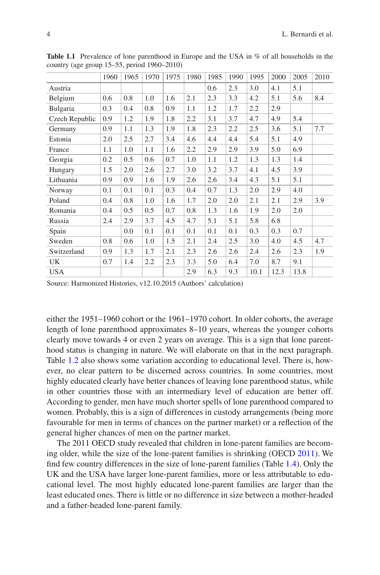|                | 1960 | 1965 | 1970 | 1975 | 1980 | 1985 | 1990 | 1995 | 2000 | 2005 | 2010 |
|----------------|------|------|------|------|------|------|------|------|------|------|------|
| Austria        |      |      |      |      |      | 0.6  | 2.3  | 3.0  | 4.1  | 5.1  |      |
| Belgium        | 0.6  | 0.8  | 1.0  | 1.6  | 2.1  | 2.3  | 3.3  | 4.2  | 5.1  | 5.6  | 8.4  |
| Bulgaria       | 0.3  | 0.4  | 0.8  | 0.9  | 1.1  | 1.2  | 1.7  | 2.2  | 2.9  |      |      |
| Czech Republic | 0.9  | 1.2  | 1.9  | 1.8  | 2.2  | 3.1  | 3.7  | 4.7  | 4.9  | 5.4  |      |
| Germany        | 0.9  | 1.1  | 1.3  | 1.9  | 1.8  | 2.3  | 2.2  | 2.5  | 3.6  | 5.1  | 7.7  |
| Estonia        | 2.0  | 2.5  | 2.7  | 3.4  | 4.6  | 4.4  | 4.4  | 5.4  | 5.1  | 4.9  |      |
| France         | 1.1  | 1.0  | 1.1  | 1.6  | 2.2  | 2.9  | 2.9  | 3.9  | 5.0  | 6.9  |      |
| Georgia        | 0.2  | 0.5  | 0.6  | 0.7  | 1.0  | 1.1  | 1.2  | 1.3  | 1.3  | 1.4  |      |
| Hungary        | 1.5  | 2.0  | 2.6  | 2.7  | 3.0  | 3.2  | 3.7  | 4.1  | 4.5  | 3.9  |      |
| Lithuania      | 0.9  | 0.9  | 1.6  | 1.9  | 2.6  | 2.6  | 3.4  | 4.3  | 5.1  | 5.1  |      |
| Norway         | 0.1  | 0.1  | 0.1  | 0.3  | 0.4  | 0.7  | 1.3  | 2.0  | 2.9  | 4.0  |      |
| Poland         | 0.4  | 0.8  | 1.0  | 1.6  | 1.7  | 2.0  | 2.0  | 2.1  | 2.1  | 2.9  | 3.9  |
| Romania        | 0.4  | 0.5  | 0.5  | 0.7  | 0.8  | 1.3  | 1.6  | 1.9  | 2.0  | 2.0  |      |
| Russia         | 2.4  | 2.9  | 3.7  | 4.5  | 4.7  | 5.1  | 5.1  | 5.8  | 6.8  |      |      |
| Spain          |      | 0.0  | 0.1  | 0.1  | 0.1  | 0.1  | 0.1  | 0.3  | 0.3  | 0.7  |      |
| Sweden         | 0.8  | 0.6  | 1.0  | 1.5  | 2.1  | 2.4  | 2.5  | 3.0  | 4.0  | 4.5  | 4.7  |
| Switzerland    | 0.9  | 1.3  | 1.7  | 2.1  | 2.3  | 2.6  | 2.6  | 2.4  | 2.6  | 2.3  | 1.9  |
| UK             | 0.7  | 1.4  | 2.2  | 2.3  | 3.3  | 5.0  | 6.4  | 7.0  | 8.7  | 9.1  |      |
| <b>USA</b>     |      |      |      |      | 2.9  | 6.3  | 9.3  | 10.1 | 12.3 | 13.8 |      |

<span id="page-3-0"></span>**Table 1.1** Prevalence of lone parenthood in Europe and the USA in % of all households in the country (age group 15–55, period 1960–2010)

Source: Harmonized Histories, v12.10.2015 (Authors' calculation)

either the 1951–1960 cohort or the 1961–1970 cohort. In older cohorts, the average length of lone parenthood approximates 8–10 years, whereas the younger cohorts clearly move towards 4 or even 2 years on average. This is a sign that lone parenthood status is changing in nature. We will elaborate on that in the next paragraph. Table [1.2](#page-4-0) also shows some variation according to educational level. There is, however, no clear pattern to be discerned across countries. In some countries, most highly educated clearly have better chances of leaving lone parenthood status, while in other countries those with an intermediary level of education are better off. According to gender, men have much shorter spells of lone parenthood compared to women. Probably, this is a sign of differences in custody arrangements (being more favourable for men in terms of chances on the partner market) or a reflection of the general higher chances of men on the partner market.

The 2011 OECD study revealed that children in lone-parent families are becoming older, while the size of the lone-parent families is shrinking (OECD [2011](#page-24-1)). We find few country differences in the size of lone-parent families (Table [1.4\)](#page-6-0). Only the UK and the USA have larger lone-parent families, more or less attributable to educational level. The most highly educated lone-parent families are larger than the least educated ones. There is little or no difference in size between a mother-headed and a father-headed lone-parent family.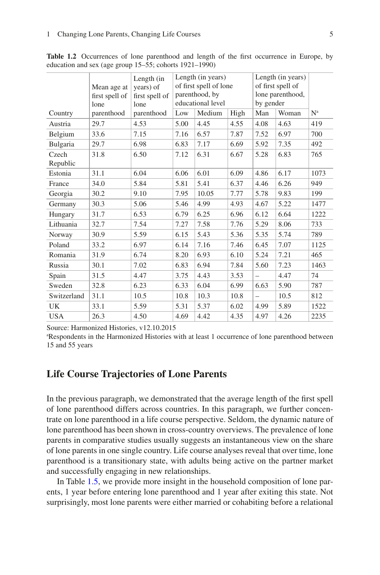|                   | Mean age at<br>first spell of | Length (in<br>years) of<br>first spell of |      | Length (in years)<br>of first spell of lone<br>parenthood, by |      | Length (in years)<br>of first spell of<br>lone parenthood, |       |       |
|-------------------|-------------------------------|-------------------------------------------|------|---------------------------------------------------------------|------|------------------------------------------------------------|-------|-------|
|                   | lone                          | lone                                      |      | educational level                                             |      | by gender                                                  |       |       |
| Country           | parenthood                    | parenthood                                | Low  | Medium                                                        | High | Man                                                        | Woman | $N^a$ |
| Austria           | 29.7                          | 4.53                                      | 5.00 | 4.45                                                          | 4.55 | 4.08                                                       | 4.63  | 419   |
| Belgium           | 33.6                          | 7.15                                      | 7.16 | 6.57                                                          | 7.87 | 7.52                                                       | 6.97  | 700   |
| Bulgaria          | 29.7                          | 6.98                                      | 6.83 | 7.17                                                          | 6.69 | 5.92                                                       | 7.35  | 492   |
| Czech<br>Republic | 31.8                          | 6.50                                      | 7.12 | 6.31                                                          | 6.67 | 5.28                                                       | 6.83  | 765   |
| Estonia           | 31.1                          | 6.04                                      | 6.06 | 6.01                                                          | 6.09 | 4.86                                                       | 6.17  | 1073  |
| France            | 34.0                          | 5.84                                      | 5.81 | 5.41                                                          | 6.37 | 4.46                                                       | 6.26  | 949   |
| Georgia           | 30.2                          | 9.10                                      | 7.95 | 10.05                                                         | 7.77 | 5.78                                                       | 9.83  | 199   |
| Germany           | 30.3                          | 5.06                                      | 5.46 | 4.99                                                          | 4.93 | 4.67                                                       | 5.22  | 1477  |
| Hungary           | 31.7                          | 6.53                                      | 6.79 | 6.25                                                          | 6.96 | 6.12                                                       | 6.64  | 1222  |
| Lithuania         | 32.7                          | 7.54                                      | 7.27 | 7.58                                                          | 7.76 | 5.29                                                       | 8.06  | 733   |
| Norway            | 30.9                          | 5.59                                      | 6.15 | 5.43                                                          | 5.36 | 5.35                                                       | 5.74  | 789   |
| Poland            | 33.2                          | 6.97                                      | 6.14 | 7.16                                                          | 7.46 | 6.45                                                       | 7.07  | 1125  |
| Romania           | 31.9                          | 6.74                                      | 8.20 | 6.93                                                          | 6.10 | 5.24                                                       | 7.21  | 465   |
| Russia            | 30.1                          | 7.02                                      | 6.83 | 6.94                                                          | 7.84 | 5.60                                                       | 7.23  | 1463  |
| Spain             | 31.5                          | 4.47                                      | 3.75 | 4.43                                                          | 3.53 | $\overline{\phantom{0}}$                                   | 4.47  | 74    |
| Sweden            | 32.8                          | 6.23                                      | 6.33 | 6.04                                                          | 6.99 | 6.63                                                       | 5.90  | 787   |
| Switzerland       | 31.1                          | 10.5                                      | 10.8 | 10.3                                                          | 10.8 | $\overline{\phantom{0}}$                                   | 10.5  | 812   |
| UK                | 33.1                          | 5.59                                      | 5.31 | 5.37                                                          | 6.02 | 4.99                                                       | 5.89  | 1522  |
| <b>USA</b>        | 26.3                          | 4.50                                      | 4.69 | 4.42                                                          | 4.35 | 4.97                                                       | 4.26  | 2235  |

<span id="page-4-0"></span>**Table 1.2** Occurrences of lone parenthood and length of the first occurrence in Europe, by education and sex (age group 15–55; cohorts 1921–1990)

a Respondents in the Harmonized Histories with at least 1 occurrence of lone parenthood between 15 and 55 years

#### **Life Course Trajectories of Lone Parents**

In the previous paragraph, we demonstrated that the average length of the first spell of lone parenthood differs across countries. In this paragraph, we further concentrate on lone parenthood in a life course perspective. Seldom, the dynamic nature of lone parenthood has been shown in cross-country overviews. The prevalence of lone parents in comparative studies usually suggests an instantaneous view on the share of lone parents in one single country. Life course analyses reveal that over time, lone parenthood is a transitionary state, with adults being active on the partner market and successfully engaging in new relationships.

In Table [1.5,](#page-7-0) we provide more insight in the household composition of lone parents, 1 year before entering lone parenthood and 1 year after exiting this state. Not surprisingly, most lone parents were either married or cohabiting before a relational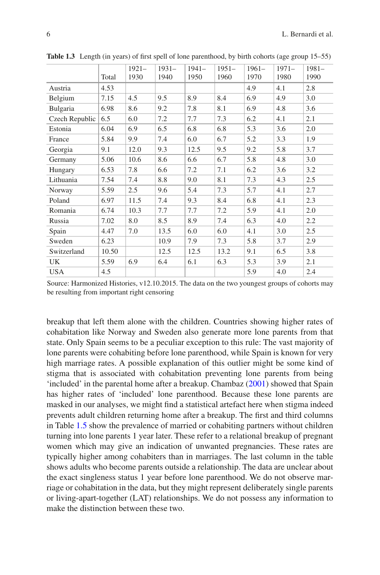|                |       | $1921 -$ | $1931-$ | $1941-$ | $1951-$ | $1961-$ | $1971-$ | $1981 -$ |
|----------------|-------|----------|---------|---------|---------|---------|---------|----------|
|                | Total | 1930     | 1940    | 1950    | 1960    | 1970    | 1980    | 1990     |
| Austria        | 4.53  |          |         |         |         | 4.9     | 4.1     | 2.8      |
| Belgium        | 7.15  | 4.5      | 9.5     | 8.9     | 8.4     | 6.9     | 4.9     | 3.0      |
| Bulgaria       | 6.98  | 8.6      | 9.2     | 7.8     | 8.1     | 6.9     | 4.8     | 3.6      |
| Czech Republic | 6.5   | 6.0      | 7.2     | 7.7     | 7.3     | 6.2     | 4.1     | 2.1      |
| Estonia        | 6.04  | 6.9      | 6.5     | 6.8     | 6.8     | 5.3     | 3.6     | 2.0      |
| France         | 5.84  | 9.9      | 7.4     | 6.0     | 6.7     | 5.2     | 3.3     | 1.9      |
| Georgia        | 9.1   | 12.0     | 9.3     | 12.5    | 9.5     | 9.2     | 5.8     | 3.7      |
| Germany        | 5.06  | 10.6     | 8.6     | 6.6     | 6.7     | 5.8     | 4.8     | 3.0      |
| Hungary        | 6.53  | 7.8      | 6.6     | 7.2     | 7.1     | 6.2     | 3.6     | 3.2      |
| Lithuania      | 7.54  | 7.4      | 8.8     | 9.0     | 8.1     | 7.3     | 4.3     | 2.5      |
| Norway         | 5.59  | 2.5      | 9.6     | 5.4     | 7.3     | 5.7     | 4.1     | 2.7      |
| Poland         | 6.97  | 11.5     | 7.4     | 9.3     | 8.4     | 6.8     | 4.1     | 2.3      |
| Romania        | 6.74  | 10.3     | 7.7     | 7.7     | 7.2     | 5.9     | 4.1     | 2.0      |
| Russia         | 7.02  | 8.0      | 8.5     | 8.9     | 7.4     | 6.3     | 4.0     | 2.2      |
| Spain          | 4.47  | 7.0      | 13.5    | 6.0     | 6.0     | 4.1     | 3.0     | 2.5      |
| Sweden         | 6.23  |          | 10.9    | 7.9     | 7.3     | 5.8     | 3.7     | 2.9      |
| Switzerland    | 10.50 |          | 12.5    | 12.5    | 13.2    | 9.1     | 6.5     | 3.8      |
| UK             | 5.59  | 6.9      | 6.4     | 6.1     | 6.3     | 5.3     | 3.9     | 2.1      |
| <b>USA</b>     | 4.5   |          |         |         |         | 5.9     | 4.0     | 2.4      |

<span id="page-5-0"></span>**Table 1.3** Length (in years) of first spell of lone parenthood, by birth cohorts (age group 15–55)

Source: Harmonized Histories, v12.10.2015. The data on the two youngest groups of cohorts may be resulting from important right censoring

breakup that left them alone with the children. Countries showing higher rates of cohabitation like Norway and Sweden also generate more lone parents from that state. Only Spain seems to be a peculiar exception to this rule: The vast majority of lone parents were cohabiting before lone parenthood, while Spain is known for very high marriage rates. A possible explanation of this outlier might be some kind of stigma that is associated with cohabitation preventing lone parents from being 'included' in the parental home after a breakup. Chambaz ([2001\)](#page-22-0) showed that Spain has higher rates of 'included' lone parenthood. Because these lone parents are masked in our analyses, we might find a statistical artefact here when stigma indeed prevents adult children returning home after a breakup. The first and third columns in Table [1.5](#page-7-0) show the prevalence of married or cohabiting partners without children turning into lone parents 1 year later. These refer to a relational breakup of pregnant women which may give an indication of unwanted pregnancies. These rates are typically higher among cohabiters than in marriages. The last column in the table shows adults who become parents outside a relationship. The data are unclear about the exact singleness status 1 year before lone parenthood. We do not observe marriage or cohabitation in the data, but they might represent deliberately single parents or living-apart-together (LAT) relationships. We do not possess any information to make the distinction between these two.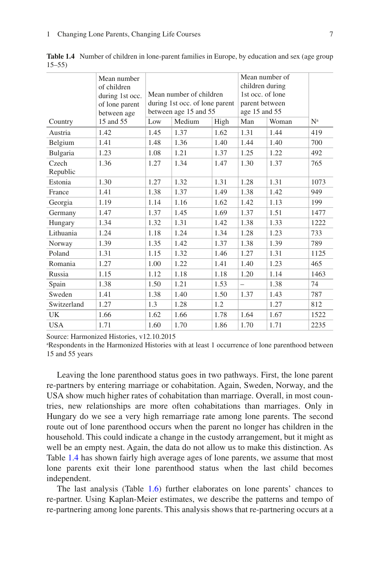|                   | Mean number<br>of children<br>during 1st occ.<br>of lone parent<br>between age |      | Mean number of children<br>during 1st occ. of lone parent<br>between age 15 and 55 |      | Mean number of<br>children during<br>1st occ. of lone<br>parent between<br>age 15 and 55 |       |      |
|-------------------|--------------------------------------------------------------------------------|------|------------------------------------------------------------------------------------|------|------------------------------------------------------------------------------------------|-------|------|
| Country           | 15 and 55                                                                      | Low  | Medium                                                                             | High | Man                                                                                      | Woman | Na   |
| Austria           | 1.42                                                                           | 1.45 | 1.37                                                                               | 1.62 | 1.31                                                                                     | 1.44  | 419  |
| Belgium           | 1.41                                                                           | 1.48 | 1.36                                                                               | 1.40 | 1.44                                                                                     | 1.40  | 700  |
| Bulgaria          | 1.23                                                                           | 1.08 | 1.21                                                                               | 1.37 | 1.25                                                                                     | 1.22  | 492  |
| Czech<br>Republic | 1.36                                                                           | 1.27 | 1.34                                                                               | 1.47 | 1.30                                                                                     | 1.37  | 765  |
| Estonia           | 1.30                                                                           | 1.27 | 1.32                                                                               | 1.31 | 1.28                                                                                     | 1.31  | 1073 |
| France            | 1.41                                                                           | 1.38 | 1.37                                                                               | 1.49 | 1.38                                                                                     | 1.42  | 949  |
| Georgia           | 1.19                                                                           | 1.14 | 1.16                                                                               | 1.62 | 1.42                                                                                     | 1.13  | 199  |
| Germany           | 1.47                                                                           | 1.37 | 1.45                                                                               | 1.69 | 1.37                                                                                     | 1.51  | 1477 |
| Hungary           | 1.34                                                                           | 1.32 | 1.31                                                                               | 1.42 | 1.38                                                                                     | 1.33  | 1222 |
| Lithuania         | 1.24                                                                           | 1.18 | 1.24                                                                               | 1.34 | 1.28                                                                                     | 1.23  | 733  |
| Norway            | 1.39                                                                           | 1.35 | 1.42                                                                               | 1.37 | 1.38                                                                                     | 1.39  | 789  |
| Poland            | 1.31                                                                           | 1.15 | 1.32                                                                               | 1.46 | 1.27                                                                                     | 1.31  | 1125 |
| Romania           | 1.27                                                                           | 1.00 | 1.22                                                                               | 1.41 | 1.40                                                                                     | 1.23  | 465  |
| Russia            | 1.15                                                                           | 1.12 | 1.18                                                                               | 1.18 | 1.20                                                                                     | 1.14  | 1463 |
| Spain             | 1.38                                                                           | 1.50 | 1.21                                                                               | 1.53 | $\overline{\phantom{0}}$                                                                 | 1.38  | 74   |
| Sweden            | 1.41                                                                           | 1.38 | 1.40                                                                               | 1.50 | 1.37                                                                                     | 1.43  | 787  |
| Switzerland       | 1.27                                                                           | 1.3  | 1.28                                                                               | 1.2  |                                                                                          | 1.27  | 812  |
| UK                | 1.66                                                                           | 1.62 | 1.66                                                                               | 1.78 | 1.64                                                                                     | 1.67  | 1522 |
| <b>USA</b>        | 1.71                                                                           | 1.60 | 1.70                                                                               | 1.86 | 1.70                                                                                     | 1.71  | 2235 |

<span id="page-6-0"></span>**Table 1.4** Number of children in lone-parent families in Europe, by education and sex (age group)  $15 - 55$ 

a Respondents in the Harmonized Histories with at least 1 occurrence of lone parenthood between 15 and 55 years

Leaving the lone parenthood status goes in two pathways. First, the lone parent re-partners by entering marriage or cohabitation. Again, Sweden, Norway, and the USA show much higher rates of cohabitation than marriage. Overall, in most countries, new relationships are more often cohabitations than marriages. Only in Hungary do we see a very high remarriage rate among lone parents. The second route out of lone parenthood occurs when the parent no longer has children in the household. This could indicate a change in the custody arrangement, but it might as well be an empty nest. Again, the data do not allow us to make this distinction. As Table [1.4](#page-6-0) has shown fairly high average ages of lone parents, we assume that most lone parents exit their lone parenthood status when the last child becomes independent.

The last analysis (Table [1.6\)](#page-8-0) further elaborates on lone parents' chances to re-partner. Using Kaplan-Meier estimates, we describe the patterns and tempo of re-partnering among lone parents. This analysis shows that re-partnering occurs at a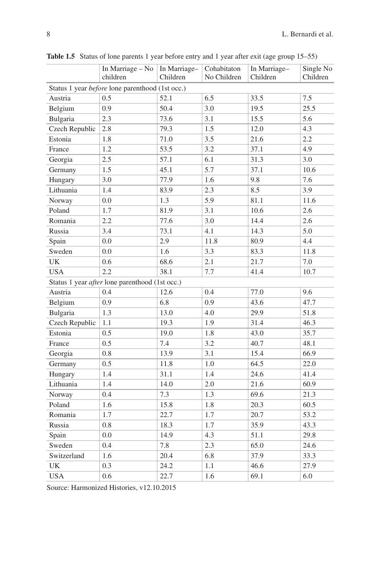|                | In Marriage - No                                      | In Marriage- | Cohabitaton | In Marriage- | Single No |
|----------------|-------------------------------------------------------|--------------|-------------|--------------|-----------|
|                | children                                              | Children     | No Children | Children     | Children  |
|                | Status 1 year before lone parenthood (1st occ.)       |              |             |              |           |
| Austria        | 0.5                                                   | 52.1         | 6.5         | 33.5         | 7.5       |
| Belgium        | 0.9                                                   | 50.4         | 3.0         | 19.5         | 25.5      |
| Bulgaria       | 2.3                                                   | 73.6         | 3.1         | 15.5         | 5.6       |
| Czech Republic | 2.8                                                   | 79.3         | 1.5         | 12.0         | 4.3       |
| Estonia        | 1.8                                                   | 71.0         | 3.5         | 21.6         | 2.2       |
| France         | 1.2                                                   | 53.5         | 3.2         | 37.1         | 4.9       |
| Georgia        | 2.5                                                   | 57.1         | 6.1         | 31.3         | 3.0       |
| Germany        | 1.5                                                   | 45.1         | 5.7         | 37.1         | 10.6      |
| Hungary        | 3.0                                                   | 77.9         | 1.6         | 9.8          | 7.6       |
| Lithuania      | 1.4                                                   | 83.9         | 2.3         | 8.5          | 3.9       |
| Norway         | 0.0                                                   | 1.3          | 5.9         | 81.1         | 11.6      |
| Poland         | 1.7                                                   | 81.9         | 3.1         | 10.6         | 2.6       |
| Romania        | 2.2                                                   | 77.6         | 3.0         | 14.4         | 2.6       |
| Russia         | 3.4                                                   | 73.1         | 4.1         | 14.3         | 5.0       |
| Spain          | 0.0                                                   | 2.9          | 11.8        | 80.9         | 4.4       |
| Sweden         | 0.0                                                   | 1.6          | 3.3         | 83.3         | 11.8      |
| UK             | 0.6                                                   | 68.6         | 2.1         | 21.7         | 7.0       |
| <b>USA</b>     | 2.2                                                   | 38.1         | 7.7         | 41.4         | 10.7      |
|                | Status 1 year <i>after</i> lone parenthood (1st occ.) |              |             |              |           |
| Austria        | 0.4                                                   | 12.6         | 0.4         | 77.0         | 9.6       |
| Belgium        | 0.9                                                   | 6.8          | 0.9         | 43.6         | 47.7      |
| Bulgaria       | 1.3                                                   | 13.0         | 4.0         | 29.9         | 51.8      |
| Czech Republic | 1.1                                                   | 19.3         | 1.9         | 31.4         | 46.3      |
| Estonia        | 0.5                                                   | 19.0         | 1.8         | 43.0         | 35.7      |
| France         | 0.5                                                   | 7.4          | 3.2         | 40.7         | 48.1      |
| Georgia        | 0.8                                                   | 13.9         | 3.1         | 15.4         | 66.9      |
| Germany        | 0.5                                                   | 11.8         | 1.0         | 64.5         | 22.0      |
| Hungary        | 1.4                                                   | 31.1         | 1.4         | 24.6         | 41.4      |
| Lithuania      | 1.4                                                   | 14.0         | 2.0         | 21.6         | 60.9      |
| Norway         | 0.4                                                   | 7.3          | 1.3         | 69.6         | 21.3      |
| Poland         | 1.6                                                   | 15.8         | 1.8         | 20.3         | 60.5      |
| Romania        | 1.7                                                   | 22.7         | 1.7         | 20.7         | 53.2      |
| Russia         | 0.8                                                   | 18.3         | 1.7         | 35.9         | 43.3      |
| Spain          | 0.0                                                   | 14.9         | 4.3         | 51.1         | 29.8      |
| Sweden         | 0.4                                                   | 7.8          | 2.3         | 65.0         | 24.6      |
| Switzerland    | 1.6                                                   | 20.4         | 6.8         | 37.9         | 33.3      |
| UK             | 0.3                                                   | 24.2         | 1.1         | 46.6         | 27.9      |
| <b>USA</b>     | 0.6                                                   | 22.7         | 1.6         | 69.1         | 6.0       |

<span id="page-7-0"></span>Table 1.5 Status of lone parents 1 year before entry and 1 year after exit (age group 15–55)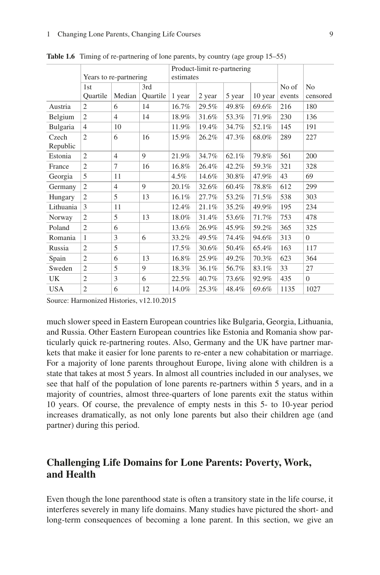|                   |                        |                |                 |           | Product-limit re-partnering |        |         |                 |                |
|-------------------|------------------------|----------------|-----------------|-----------|-----------------------------|--------|---------|-----------------|----------------|
|                   | Years to re-partnering |                |                 | estimates |                             |        |         |                 |                |
|                   | 1st<br>Quartile        | Median         | 3rd<br>Ouartile | 1 year    | 2 year                      | 5 year | 10 year | No of<br>events | No<br>censored |
| Austria           | 2                      | 6              | 14              | 16.7%     | 29.5%                       | 49.8%  | 69.6%   | 216             | 180            |
| Belgium           | 2                      | $\overline{4}$ | 14              | 18.9%     | 31.6%                       | 53.3%  | 71.9%   | 230             | 136            |
| Bulgaria          | $\overline{4}$         | 10             |                 | 11.9%     | 19.4%                       | 34.7%  | 52.1%   | 145             | 191            |
| Czech<br>Republic | $\overline{2}$         | 6              | 16              | 15.9%     | 26.2%                       | 47.3%  | 68.0%   | 289             | 227            |
| Estonia           | $\overline{2}$         | $\overline{4}$ | 9               | 21.9%     | 34.7%                       | 62.1%  | 79.8%   | 561             | 200            |
| France            | $\overline{2}$         | 7              | 16              | 16.8%     | 26.4%                       | 42.2%  | 59.3%   | 321             | 328            |
| Georgia           | 5                      | 11             |                 | $4.5\%$   | 14.6%                       | 30.8%  | 47.9%   | 43              | 69             |
| Germany           | $\overline{2}$         | 4              | 9               | 20.1%     | 32.6%                       | 60.4%  | 78.8%   | 612             | 299            |
| Hungary           | $\mathfrak{2}$         | 5              | 13              | 16.1%     | 27.7%                       | 53.2%  | 71.5%   | 538             | 303            |
| Lithuania         | 3                      | 11             |                 | 12.4%     | 21.1%                       | 35.2%  | 49.9%   | 195             | 234            |
| Norway            | $\overline{2}$         | 5              | 13              | 18.0%     | 31.4%                       | 53.6%  | 71.7%   | 753             | 478            |
| Poland            | $\overline{2}$         | 6              |                 | 13.6%     | 26.9%                       | 45.9%  | 59.2%   | 365             | 325            |
| Romania           | 1                      | 3              | 6               | 33.2%     | 49.5%                       | 74.4%  | 94.6%   | 313             | $\Omega$       |
| Russia            | $\mathfrak{2}$         | 5              |                 | 17.5%     | 30.6%                       | 50.4%  | 65.4%   | 163             | 117            |
| Spain             | $\overline{2}$         | 6              | 13              | 16.8%     | 25.9%                       | 49.2%  | 70.3%   | 623             | 364            |
| Sweden            | $\overline{2}$         | 5              | 9               | 18.3%     | 36.1%                       | 56.7%  | 83.1%   | 33              | 27             |
| UK                | 2                      | 3              | 6               | 22.5%     | 40.7%                       | 73.6%  | 92.9%   | 435             | $\theta$       |
| <b>USA</b>        | $\mathfrak{2}$         | 6              | 12              | 14.0%     | 25.3%                       | 48.4%  | 69.6%   | 1135            | 1027           |

<span id="page-8-0"></span>**Table 1.6** Timing of re-partnering of lone parents, by country (age group 15–55)

much slower speed in Eastern European countries like Bulgaria, Georgia, Lithuania, and Russia. Other Eastern European countries like Estonia and Romania show particularly quick re-partnering routes. Also, Germany and the UK have partner markets that make it easier for lone parents to re-enter a new cohabitation or marriage. For a majority of lone parents throughout Europe, living alone with children is a state that takes at most 5 years. In almost all countries included in our analyses, we see that half of the population of lone parents re-partners within 5 years, and in a majority of countries, almost three-quarters of lone parents exit the status within 10 years. Of course, the prevalence of empty nests in this 5- to 10-year period increases dramatically, as not only lone parents but also their children age (and partner) during this period.

# **Challenging Life Domains for Lone Parents: Poverty, Work, and Health**

Even though the lone parenthood state is often a transitory state in the life course, it interferes severely in many life domains. Many studies have pictured the short- and long-term consequences of becoming a lone parent. In this section, we give an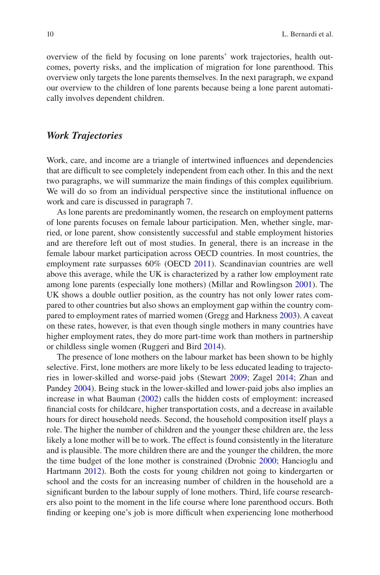overview of the field by focusing on lone parents' work trajectories, health outcomes, poverty risks, and the implication of migration for lone parenthood. This overview only targets the lone parents themselves. In the next paragraph, we expand our overview to the children of lone parents because being a lone parent automatically involves dependent children.

#### *Work Trajectories*

Work, care, and income are a triangle of intertwined influences and dependencies that are difficult to see completely independent from each other. In this and the next two paragraphs, we will summarize the main findings of this complex equilibrium. We will do so from an individual perspective since the institutional influence on work and care is discussed in paragraph 7.

As lone parents are predominantly women, the research on employment patterns of lone parents focuses on female labour participation. Men, whether single, married, or lone parent, show consistently successful and stable employment histories and are therefore left out of most studies. In general, there is an increase in the female labour market participation across OECD countries. In most countries, the employment rate surpasses 60% (OECD [2011\)](#page-24-1). Scandinavian countries are well above this average, while the UK is characterized by a rather low employment rate among lone parents (especially lone mothers) (Millar and Rowlingson [2001](#page-23-2)). The UK shows a double outlier position, as the country has not only lower rates compared to other countries but also shows an employment gap within the country compared to employment rates of married women (Gregg and Harkness [2003](#page-22-2)). A caveat on these rates, however, is that even though single mothers in many countries have higher employment rates, they do more part-time work than mothers in partnership or childless single women (Ruggeri and Bird [2014\)](#page-24-3).

The presence of lone mothers on the labour market has been shown to be highly selective. First, lone mothers are more likely to be less educated leading to trajectories in lower-skilled and worse-paid jobs (Stewart [2009;](#page-24-4) Zagel [2014;](#page-24-5) Zhan and Pandey [2004\)](#page-24-6). Being stuck in the lower-skilled and lower-paid jobs also implies an increase in what Bauman [\(2002](#page-21-2)) calls the hidden costs of employment: increased financial costs for childcare, higher transportation costs, and a decrease in available hours for direct household needs. Second, the household composition itself plays a role. The higher the number of children and the younger these children are, the less likely a lone mother will be to work. The effect is found consistently in the literature and is plausible. The more children there are and the younger the children, the more the time budget of the lone mother is constrained (Drobnic [2000;](#page-22-3) Hancioglu and Hartmann [2012](#page-23-3)). Both the costs for young children not going to kindergarten or school and the costs for an increasing number of children in the household are a significant burden to the labour supply of lone mothers. Third, life course researchers also point to the moment in the life course where lone parenthood occurs. Both finding or keeping one's job is more difficult when experiencing lone motherhood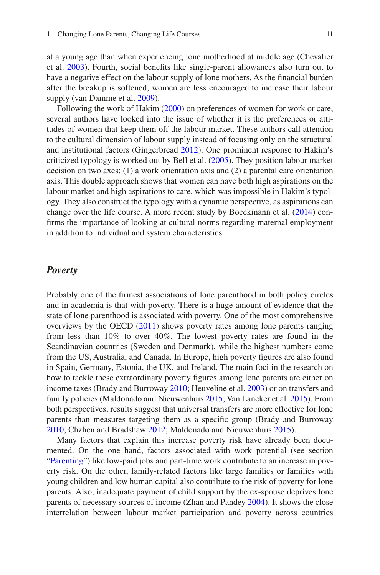at a young age than when experiencing lone motherhood at middle age (Chevalier et al. [2003\)](#page-22-4). Fourth, social benefits like single-parent allowances also turn out to have a negative effect on the labour supply of lone mothers. As the financial burden after the breakup is softened, women are less encouraged to increase their labour supply (van Damme et al. [2009](#page-24-7)).

Following the work of Hakim ([2000\)](#page-23-4) on preferences of women for work or care, several authors have looked into the issue of whether it is the preferences or attitudes of women that keep them off the labour market. These authors call attention to the cultural dimension of labour supply instead of focusing only on the structural and institutional factors (Gingerbread [2012](#page-22-5)). One prominent response to Hakim's criticized typology is worked out by Bell et al. [\(2005](#page-21-3)). They position labour market decision on two axes: (1) a work orientation axis and (2) a parental care orientation axis. This double approach shows that women can have both high aspirations on the labour market and high aspirations to care, which was impossible in Hakim's typology. They also construct the typology with a dynamic perspective, as aspirations can change over the life course. A more recent study by Boeckmann et al. ([2014\)](#page-21-4) confirms the importance of looking at cultural norms regarding maternal employment in addition to individual and system characteristics.

#### *Poverty*

Probably one of the firmest associations of lone parenthood in both policy circles and in academia is that with poverty. There is a huge amount of evidence that the state of lone parenthood is associated with poverty. One of the most comprehensive overviews by the OECD ([2011\)](#page-24-1) shows poverty rates among lone parents ranging from less than 10% to over 40%. The lowest poverty rates are found in the Scandinavian countries (Sweden and Denmark), while the highest numbers come from the US, Australia, and Canada. In Europe, high poverty figures are also found in Spain, Germany, Estonia, the UK, and Ireland. The main foci in the research on how to tackle these extraordinary poverty figures among lone parents are either on income taxes (Brady and Burroway [2010;](#page-21-5) Heuveline et al. [2003](#page-23-5)) or on transfers and family policies (Maldonado and Nieuwenhuis [2015;](#page-23-6) Van Lancker et al. [2015\)](#page-24-8). From both perspectives, results suggest that universal transfers are more effective for lone parents than measures targeting them as a specific group (Brady and Burroway [2010;](#page-21-5) Chzhen and Bradshaw [2012](#page-22-6); Maldonado and Nieuwenhuis [2015](#page-23-6)).

Many factors that explain this increase poverty risk have already been documented. On the one hand, factors associated with work potential (see section ["Parenting](#page-13-0)") like low-paid jobs and part-time work contribute to an increase in poverty risk. On the other, family-related factors like large families or families with young children and low human capital also contribute to the risk of poverty for lone parents. Also, inadequate payment of child support by the ex-spouse deprives lone parents of necessary sources of income (Zhan and Pandey [2004\)](#page-24-6). It shows the close interrelation between labour market participation and poverty across countries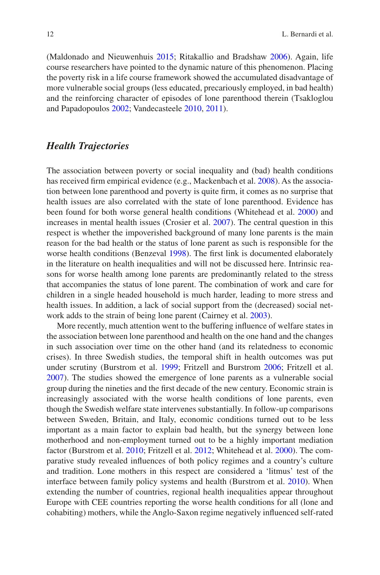(Maldonado and Nieuwenhuis [2015](#page-23-6); Ritakallio and Bradshaw [2006\)](#page-24-9). Again, life course researchers have pointed to the dynamic nature of this phenomenon. Placing the poverty risk in a life course framework showed the accumulated disadvantage of more vulnerable social groups (less educated, precariously employed, in bad health) and the reinforcing character of episodes of lone parenthood therein (Tsakloglou and Papadopoulos [2002](#page-24-10); Vandecasteele [2010](#page-24-11), [2011](#page-24-12)).

#### *Health Trajectories*

The association between poverty or social inequality and (bad) health conditions has received firm empirical evidence (e.g., Mackenbach et al. [2008](#page-23-7)). As the association between lone parenthood and poverty is quite firm, it comes as no surprise that health issues are also correlated with the state of lone parenthood. Evidence has been found for both worse general health conditions (Whitehead et al. [2000](#page-24-13)) and increases in mental health issues (Crosier et al. [2007\)](#page-22-7). The central question in this respect is whether the impoverished background of many lone parents is the main reason for the bad health or the status of lone parent as such is responsible for the worse health conditions (Benzeval [1998\)](#page-21-6). The first link is documented elaborately in the literature on health inequalities and will not be discussed here. Intrinsic reasons for worse health among lone parents are predominantly related to the stress that accompanies the status of lone parent. The combination of work and care for children in a single headed household is much harder, leading to more stress and health issues. In addition, a lack of social support from the (decreased) social network adds to the strain of being lone parent (Cairney et al. [2003](#page-22-8)).

More recently, much attention went to the buffering influence of welfare states in the association between lone parenthood and health on the one hand and the changes in such association over time on the other hand (and its relatedness to economic crises). In three Swedish studies, the temporal shift in health outcomes was put under scrutiny (Burstrom et al. [1999](#page-21-7); Fritzell and Burstrom [2006](#page-22-9); Fritzell et al. [2007\)](#page-22-10). The studies showed the emergence of lone parents as a vulnerable social group during the nineties and the first decade of the new century. Economic strain is increasingly associated with the worse health conditions of lone parents, even though the Swedish welfare state intervenes substantially. In follow-up comparisons between Sweden, Britain, and Italy, economic conditions turned out to be less important as a main factor to explain bad health, but the synergy between lone motherhood and non-employment turned out to be a highly important mediation factor (Burstrom et al. [2010;](#page-22-11) Fritzell et al. [2012](#page-22-12); Whitehead et al. [2000](#page-24-13)). The comparative study revealed influences of both policy regimes and a country's culture and tradition. Lone mothers in this respect are considered a 'litmus' test of the interface between family policy systems and health (Burstrom et al. [2010\)](#page-22-11). When extending the number of countries, regional health inequalities appear throughout Europe with CEE countries reporting the worse health conditions for all (lone and cohabiting) mothers, while the Anglo-Saxon regime negatively influenced self-rated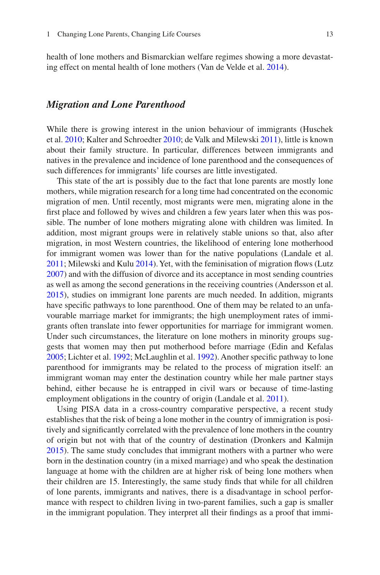health of lone mothers and Bismarckian welfare regimes showing a more devastating effect on mental health of lone mothers (Van de Velde et al. [2014\)](#page-24-14).

#### *Migration and Lone Parenthood*

While there is growing interest in the union behaviour of immigrants (Huschek et al. [2010;](#page-23-8) Kalter and Schroedter [2010;](#page-23-9) de Valk and Milewski [2011](#page-22-13)), little is known about their family structure. In particular, differences between immigrants and natives in the prevalence and incidence of lone parenthood and the consequences of such differences for immigrants' life courses are little investigated.

This state of the art is possibly due to the fact that lone parents are mostly lone mothers, while migration research for a long time had concentrated on the economic migration of men. Until recently, most migrants were men, migrating alone in the first place and followed by wives and children a few years later when this was possible. The number of lone mothers migrating alone with children was limited. In addition, most migrant groups were in relatively stable unions so that, also after migration, in most Western countries, the likelihood of entering lone motherhood for immigrant women was lower than for the native populations (Landale et al. [2011;](#page-23-10) Milewski and Kulu [2014](#page-23-11)). Yet, with the feminisation of migration flows (Lutz [2007\)](#page-23-12) and with the diffusion of divorce and its acceptance in most sending countries as well as among the second generations in the receiving countries (Andersson et al. [2015\)](#page-21-8), studies on immigrant lone parents are much needed. In addition, migrants have specific pathways to lone parenthood. One of them may be related to an unfavourable marriage market for immigrants; the high unemployment rates of immigrants often translate into fewer opportunities for marriage for immigrant women. Under such circumstances, the literature on lone mothers in minority groups suggests that women may then put motherhood before marriage (Edin and Kefalas [2005;](#page-22-14) Lichter et al. [1992;](#page-23-13) McLaughlin et al. [1992\)](#page-23-14). Another specific pathway to lone parenthood for immigrants may be related to the process of migration itself: an immigrant woman may enter the destination country while her male partner stays behind, either because he is entrapped in civil wars or because of time-lasting employment obligations in the country of origin (Landale et al. [2011](#page-23-10)).

Using PISA data in a cross-country comparative perspective, a recent study establishes that the risk of being a lone mother in the country of immigration is positively and significantly correlated with the prevalence of lone mothers in the country of origin but not with that of the country of destination (Dronkers and Kalmijn [2015\)](#page-22-15). The same study concludes that immigrant mothers with a partner who were born in the destination country (in a mixed marriage) and who speak the destination language at home with the children are at higher risk of being lone mothers when their children are 15. Interestingly, the same study finds that while for all children of lone parents, immigrants and natives, there is a disadvantage in school performance with respect to children living in two-parent families, such a gap is smaller in the immigrant population. They interpret all their findings as a proof that immi-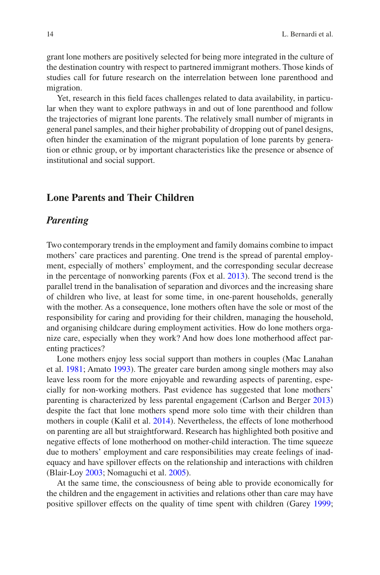grant lone mothers are positively selected for being more integrated in the culture of the destination country with respect to partnered immigrant mothers. Those kinds of studies call for future research on the interrelation between lone parenthood and migration.

Yet, research in this field faces challenges related to data availability, in particular when they want to explore pathways in and out of lone parenthood and follow the trajectories of migrant lone parents. The relatively small number of migrants in general panel samples, and their higher probability of dropping out of panel designs, often hinder the examination of the migrant population of lone parents by generation or ethnic group, or by important characteristics like the presence or absence of institutional and social support.

### **Lone Parents and Their Children**

#### <span id="page-13-0"></span>*Parenting*

Two contemporary trends in the employment and family domains combine to impact mothers' care practices and parenting. One trend is the spread of parental employment, especially of mothers' employment, and the corresponding secular decrease in the percentage of nonworking parents (Fox et al. [2013](#page-22-16)). The second trend is the parallel trend in the banalisation of separation and divorces and the increasing share of children who live, at least for some time, in one-parent households, generally with the mother. As a consequence, lone mothers often have the sole or most of the responsibility for caring and providing for their children, managing the household, and organising childcare during employment activities. How do lone mothers organize care, especially when they work? And how does lone motherhood affect parenting practices?

Lone mothers enjoy less social support than mothers in couples (Mac Lanahan et al. [1981](#page-23-15); Amato [1993](#page-21-9)). The greater care burden among single mothers may also leave less room for the more enjoyable and rewarding aspects of parenting, especially for non-working mothers. Past evidence has suggested that lone mothers' parenting is characterized by less parental engagement (Carlson and Berger [2013](#page-22-17)) despite the fact that lone mothers spend more solo time with their children than mothers in couple (Kalil et al. [2014](#page-23-16)). Nevertheless, the effects of lone motherhood on parenting are all but straightforward. Research has highlighted both positive and negative effects of lone motherhood on mother-child interaction. The time squeeze due to mothers' employment and care responsibilities may create feelings of inadequacy and have spillover effects on the relationship and interactions with children (Blair-Loy [2003;](#page-21-10) Nomaguchi et al. [2005](#page-24-15)).

At the same time, the consciousness of being able to provide economically for the children and the engagement in activities and relations other than care may have positive spillover effects on the quality of time spent with children (Garey [1999;](#page-22-18)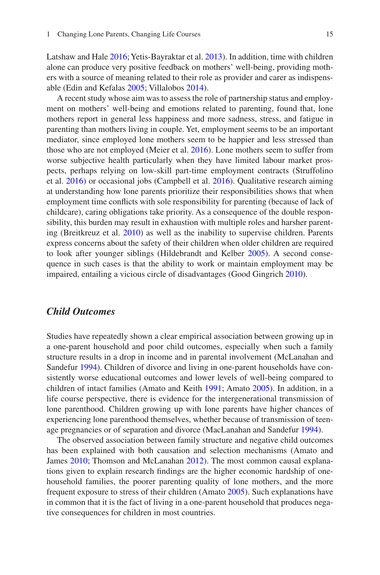Latshaw and Hale [2016](#page-23-17); Yetis-Bayraktar et al. [2013](#page-24-16)). In addition, time with children alone can produce very positive feedback on mothers' well-being, providing mothers with a source of meaning related to their role as provider and carer as indispensable (Edin and Kefalas [2005](#page-22-14); Villalobos [2014\)](#page-24-17).

A recent study whose aim was to assess the role of partnership status and employment on mothers' well-being and emotions related to parenting, found that, lone mothers report in general less happiness and more sadness, stress, and fatigue in parenting than mothers living in couple. Yet, employment seems to be an important mediator, since employed lone mothers seem to be happier and less stressed than those who are not employed (Meier et al. [2016\)](#page-23-18). Lone mothers seem to suffer from worse subjective health particularly when they have limited labour market prospects, perhaps relying on low-skill part-time employment contracts (Struffolino et al. [2016](#page-24-18)) or occasional jobs (Campbell et al. [2016](#page-22-19)). Qualitative research aiming at understanding how lone parents prioritize their responsibilities shows that when employment time conflicts with sole responsibility for parenting (because of lack of childcare), caring obligations take priority. As a consequence of the double responsibility, this burden may result in exhaustion with multiple roles and harsher parenting (Breitkreuz et al. [2010\)](#page-21-11) as well as the inability to supervise children. Parents express concerns about the safety of their children when older children are required to look after younger siblings (Hildebrandt and Kelber [2005\)](#page-23-19). A second consequence in such cases is that the ability to work or maintain employment may be impaired, entailing a vicious circle of disadvantages (Good Gingrich [2010](#page-22-20)).

#### *Child Outcomes*

Studies have repeatedly shown a clear empirical association between growing up in a one-parent household and poor child outcomes, especially when such a family structure results in a drop in income and in parental involvement (McLanahan and Sandefur [1994](#page-23-20)). Children of divorce and living in one-parent households have consistently worse educational outcomes and lower levels of well-being compared to children of intact families (Amato and Keith [1991;](#page-21-12) Amato [2005](#page-21-13)). In addition, in a life course perspective, there is evidence for the intergenerational transmission of lone parenthood. Children growing up with lone parents have higher chances of experiencing lone parenthood themselves, whether because of transmission of teenage pregnancies or of separation and divorce (MacLanahan and Sandefur [1994](#page-23-20)).

The observed association between family structure and negative child outcomes has been explained with both causation and selection mechanisms (Amato and James [2010](#page-21-14); Thomson and McLanahan [2012\)](#page-24-19). The most common causal explanations given to explain research findings are the higher economic hardship of onehousehold families, the poorer parenting quality of lone mothers, and the more frequent exposure to stress of their children (Amato [2005](#page-21-13)). Such explanations have in common that it is the fact of living in a one-parent household that produces negative consequences for children in most countries.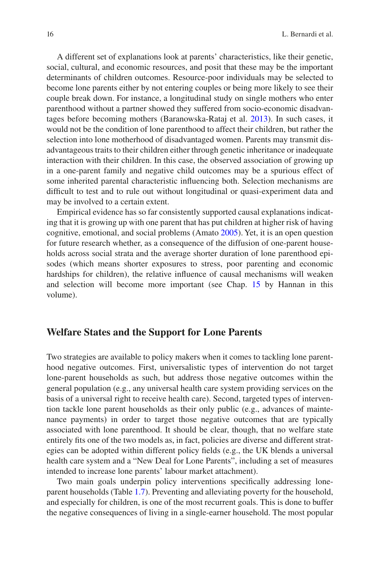A different set of explanations look at parents' characteristics, like their genetic, social, cultural, and economic resources, and posit that these may be the important determinants of children outcomes. Resource-poor individuals may be selected to become lone parents either by not entering couples or being more likely to see their couple break down. For instance, a longitudinal study on single mothers who enter parenthood without a partner showed they suffered from socio-economic disadvantages before becoming mothers (Baranowska-Rataj et al. [2013\)](#page-21-15). In such cases, it would not be the condition of lone parenthood to affect their children, but rather the selection into lone motherhood of disadvantaged women. Parents may transmit disadvantageous traits to their children either through genetic inheritance or inadequate interaction with their children. In this case, the observed association of growing up in a one-parent family and negative child outcomes may be a spurious effect of some inherited parental characteristic influencing both. Selection mechanisms are difficult to test and to rule out without longitudinal or quasi-experiment data and may be involved to a certain extent.

Empirical evidence has so far consistently supported causal explanations indicating that it is growing up with one parent that has put children at higher risk of having cognitive, emotional, and social problems (Amato [2005](#page-21-13)). Yet, it is an open question for future research whether, as a consequence of the diffusion of one-parent households across social strata and the average shorter duration of lone parenthood episodes (which means shorter exposures to stress, poor parenting and economic hardships for children), the relative influence of causal mechanisms will weaken and selection will become more important (see Chap. [15](https://doi.org/10.1007/978-3-319-63295-7_15) by Hannan in this volume).

#### **Welfare States and the Support for Lone Parents**

Two strategies are available to policy makers when it comes to tackling lone parenthood negative outcomes. First, universalistic types of intervention do not target lone-parent households as such, but address those negative outcomes within the general population (e.g., any universal health care system providing services on the basis of a universal right to receive health care). Second, targeted types of intervention tackle lone parent households as their only public (e.g., advances of maintenance payments) in order to target those negative outcomes that are typically associated with lone parenthood. It should be clear, though, that no welfare state entirely fits one of the two models as, in fact, policies are diverse and different strategies can be adopted within different policy fields (e.g., the UK blends a universal health care system and a "New Deal for Lone Parents", including a set of measures intended to increase lone parents' labour market attachment).

Two main goals underpin policy interventions specifically addressing loneparent households (Table [1.7\)](#page-16-0). Preventing and alleviating poverty for the household, and especially for children, is one of the most recurrent goals. This is done to buffer the negative consequences of living in a single-earner household. The most popular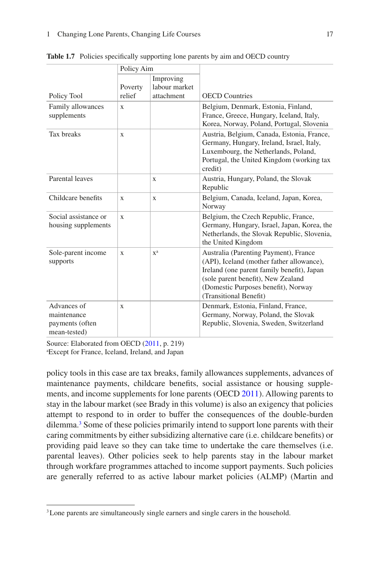|                                                               | Policy Aim        |                                          |                                                                                                                                                                                                                                         |
|---------------------------------------------------------------|-------------------|------------------------------------------|-----------------------------------------------------------------------------------------------------------------------------------------------------------------------------------------------------------------------------------------|
| Policy Tool                                                   | Poverty<br>relief | Improving<br>labour market<br>attachment | <b>OECD</b> Countries                                                                                                                                                                                                                   |
| Family allowances<br>supplements                              | X                 |                                          | Belgium, Denmark, Estonia, Finland,<br>France, Greece, Hungary, Iceland, Italy,<br>Korea, Norway, Poland, Portugal, Slovenia                                                                                                            |
| Tax breaks                                                    | X                 |                                          | Austria, Belgium, Canada, Estonia, France,<br>Germany, Hungary, Ireland, Israel, Italy,<br>Luxembourg, the Netherlands, Poland,<br>Portugal, the United Kingdom (working tax<br>credit)                                                 |
| Parental leaves                                               |                   | X                                        | Austria, Hungary, Poland, the Slovak<br>Republic                                                                                                                                                                                        |
| Childcare benefits                                            | X                 | X                                        | Belgium, Canada, Iceland, Japan, Korea,<br>Norway                                                                                                                                                                                       |
| Social assistance or<br>housing supplements                   | $\mathbf x$       |                                          | Belgium, the Czech Republic, France,<br>Germany, Hungary, Israel, Japan, Korea, the<br>Netherlands, the Slovak Republic, Slovenia,<br>the United Kingdom                                                                                |
| Sole-parent income<br>supports                                | X                 | $x^a$                                    | Australia (Parenting Payment), France<br>(API), Iceland (mother father allowance),<br>Ireland (one parent family benefit), Japan<br>(sole parent benefit), New Zealand<br>(Domestic Purposes benefit), Norway<br>(Transitional Benefit) |
| Advances of<br>maintenance<br>payments (often<br>mean-tested) | X                 |                                          | Denmark, Estonia, Finland, France,<br>Germany, Norway, Poland, the Slovak<br>Republic, Slovenia, Sweden, Switzerland                                                                                                                    |

<span id="page-16-0"></span>Table 1.7 Policies specifically supporting lone parents by aim and OECD country

Source: Elaborated from OECD ([2011,](#page-24-1) p. 219)

a Except for France, Iceland, Ireland, and Japan

policy tools in this case are tax breaks, family allowances supplements, advances of maintenance payments, childcare benefits, social assistance or housing supplements, and income supplements for lone parents (OECD [2011\)](#page-24-1). Allowing parents to stay in the labour market (see Brady in this volume) is also an exigency that policies attempt to respond to in order to buffer the consequences of the double-burden dilemma.<sup>3</sup> Some of these policies primarily intend to support lone parents with their caring commitments by either subsidizing alternative care (i.e. childcare benefits) or providing paid leave so they can take time to undertake the care themselves (i.e. parental leaves). Other policies seek to help parents stay in the labour market through workfare programmes attached to income support payments. Such policies are generally referred to as active labour market policies (ALMP) (Martin and

<span id="page-16-1"></span><sup>&</sup>lt;sup>3</sup> Lone parents are simultaneously single earners and single carers in the household.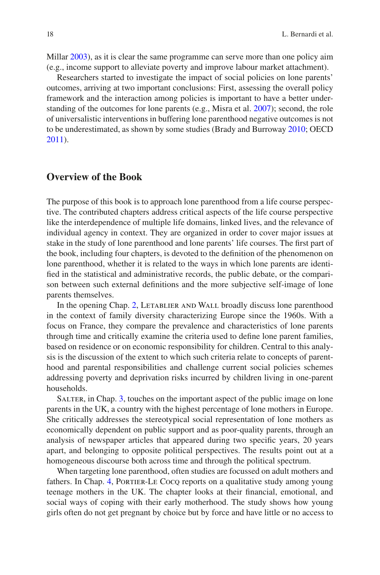Millar [2003](#page-23-21)), as it is clear the same programme can serve more than one policy aim (e.g., income support to alleviate poverty and improve labour market attachment).

Researchers started to investigate the impact of social policies on lone parents' outcomes, arriving at two important conclusions: First, assessing the overall policy framework and the interaction among policies is important to have a better understanding of the outcomes for lone parents (e.g., Misra et al. [2007\)](#page-24-20); second, the role of universalistic interventions in buffering lone parenthood negative outcomes is not to be underestimated, as shown by some studies (Brady and Burroway [2010](#page-21-5); OECD [2011\)](#page-24-1).

#### **Overview of the Book**

The purpose of this book is to approach lone parenthood from a life course perspective. The contributed chapters address critical aspects of the life course perspective like the interdependence of multiple life domains, linked lives, and the relevance of individual agency in context. They are organized in order to cover major issues at stake in the study of lone parenthood and lone parents' life courses. The first part of the book, including four chapters, is devoted to the definition of the phenomenon on lone parenthood, whether it is related to the ways in which lone parents are identified in the statistical and administrative records, the public debate, or the comparison between such external definitions and the more subjective self-image of lone parents themselves.

In the opening Chap. [2,](https://doi.org/10.1007/978-3-319-63295-7_2) LETABLIER AND WALL broadly discuss lone parenthood in the context of family diversity characterizing Europe since the 1960s. With a focus on France, they compare the prevalence and characteristics of lone parents through time and critically examine the criteria used to define lone parent families, based on residence or on economic responsibility for children. Central to this analysis is the discussion of the extent to which such criteria relate to concepts of parenthood and parental responsibilities and challenge current social policies schemes addressing poverty and deprivation risks incurred by children living in one-parent households.

SALTER, in Chap. [3,](https://doi.org/10.1007/978-3-319-63295-7_3) touches on the important aspect of the public image on lone parents in the UK, a country with the highest percentage of lone mothers in Europe. She critically addresses the stereotypical social representation of lone mothers as economically dependent on public support and as poor-quality parents, through an analysis of newspaper articles that appeared during two specific years, 20 years apart, and belonging to opposite political perspectives. The results point out at a homogeneous discourse both across time and through the political spectrum.

When targeting lone parenthood, often studies are focussed on adult mothers and fathers. In Chap. [4,](https://doi.org/10.1007/978-3-319-63295-7_4) PORTIER-LE COCQ reports on a qualitative study among young teenage mothers in the UK. The chapter looks at their financial, emotional, and social ways of coping with their early motherhood. The study shows how young girls often do not get pregnant by choice but by force and have little or no access to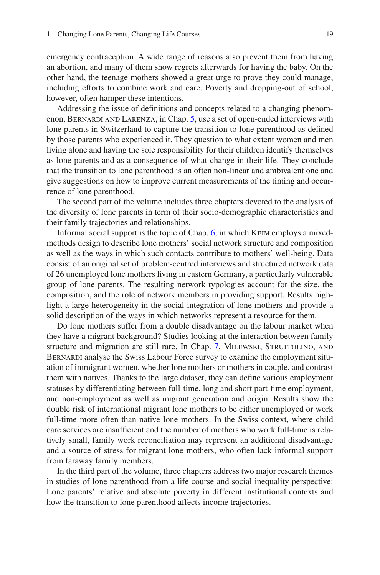emergency contraception. A wide range of reasons also prevent them from having an abortion, and many of them show regrets afterwards for having the baby. On the other hand, the teenage mothers showed a great urge to prove they could manage, including efforts to combine work and care. Poverty and dropping-out of school, however, often hamper these intentions.

Addressing the issue of definitions and concepts related to a changing phenom-enon, BERNARDI AND LARENZA, in Chap. [5](https://doi.org/10.1007/978-3-319-63295-7_5), use a set of open-ended interviews with lone parents in Switzerland to capture the transition to lone parenthood as defined by those parents who experienced it. They question to what extent women and men living alone and having the sole responsibility for their children identify themselves as lone parents and as a consequence of what change in their life. They conclude that the transition to lone parenthood is an often non-linear and ambivalent one and give suggestions on how to improve current measurements of the timing and occurrence of lone parenthood.

The second part of the volume includes three chapters devoted to the analysis of the diversity of lone parents in term of their socio-demographic characteristics and their family trajectories and relationships.

Informal social support is the topic of Chap. [6,](https://doi.org/10.1007/978-3-319-63295-7_6) in which KEIM employs a mixedmethods design to describe lone mothers' social network structure and composition as well as the ways in which such contacts contribute to mothers' well-being. Data consist of an original set of problem-centred interviews and structured network data of 26 unemployed lone mothers living in eastern Germany, a particularly vulnerable group of lone parents. The resulting network typologies account for the size, the composition, and the role of network members in providing support. Results highlight a large heterogeneity in the social integration of lone mothers and provide a solid description of the ways in which networks represent a resource for them.

Do lone mothers suffer from a double disadvantage on the labour market when they have a migrant background? Studies looking at the interaction between family structure and migration are still rare. In Chap. [7](https://doi.org/10.1007/978-3-319-63295-7_7), MILEWSKI, STRUFFOLINO, AND Bernardi analyse the Swiss Labour Force survey to examine the employment situation of immigrant women, whether lone mothers or mothers in couple, and contrast them with natives. Thanks to the large dataset, they can define various employment statuses by differentiating between full-time, long and short part-time employment, and non-employment as well as migrant generation and origin. Results show the double risk of international migrant lone mothers to be either unemployed or work full-time more often than native lone mothers. In the Swiss context, where child care services are insufficient and the number of mothers who work full-time is relatively small, family work reconciliation may represent an additional disadvantage and a source of stress for migrant lone mothers, who often lack informal support from faraway family members.

In the third part of the volume, three chapters address two major research themes in studies of lone parenthood from a life course and social inequality perspective: Lone parents' relative and absolute poverty in different institutional contexts and how the transition to lone parenthood affects income trajectories.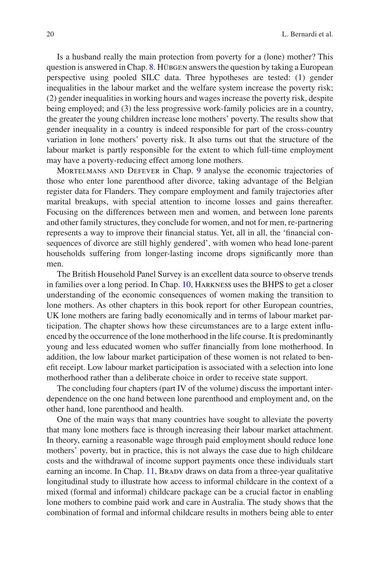Is a husband really the main protection from poverty for a (lone) mother? This question is answered in Chap. [8.](https://doi.org/10.1007/978-3-319-63295-7_8) Hübgen answers the question by taking a European perspective using pooled SILC data. Three hypotheses are tested: (1) gender inequalities in the labour market and the welfare system increase the poverty risk; (2) gender inequalities in working hours and wages increase the poverty risk, despite being employed; and (3) the less progressive work-family policies are in a country, the greater the young children increase lone mothers' poverty. The results show that gender inequality in a country is indeed responsible for part of the cross-country variation in lone mothers' poverty risk. It also turns out that the structure of the labour market is partly responsible for the extent to which full-time employment may have a poverty-reducing effect among lone mothers.

MORTELMANS AND DEFEVER in Chap. [9](https://doi.org/10.1007/978-3-319-63295-7_9) analyse the economic trajectories of those who enter lone parenthood after divorce, taking advantage of the Belgian register data for Flanders. They compare employment and family trajectories after marital breakups, with special attention to income losses and gains thereafter. Focusing on the differences between men and women, and between lone parents and other family structures, they conclude for women, and not for men, re-partnering represents a way to improve their financial status. Yet, all in all, the 'financial consequences of divorce are still highly gendered', with women who head lone-parent households suffering from longer-lasting income drops significantly more than men.

The British Household Panel Survey is an excellent data source to observe trends in families over a long period. In Chap. [10,](https://doi.org/10.1007/978-3-319-63295-7_10) Harkness uses the BHPS to get a closer understanding of the economic consequences of women making the transition to lone mothers. As other chapters in this book report for other European countries, UK lone mothers are faring badly economically and in terms of labour market participation. The chapter shows how these circumstances are to a large extent influenced by the occurrence of the lone motherhood in the life course. It is predominantly young and less educated women who suffer financially from lone motherhood. In addition, the low labour market participation of these women is not related to benefit receipt. Low labour market participation is associated with a selection into lone motherhood rather than a deliberate choice in order to receive state support.

The concluding four chapters (part IV of the volume) discuss the important interdependence on the one hand between lone parenthood and employment and, on the other hand, lone parenthood and health.

One of the main ways that many countries have sought to alleviate the poverty that many lone mothers face is through increasing their labour market attachment. In theory, earning a reasonable wage through paid employment should reduce lone mothers' poverty, but in practice, this is not always the case due to high childcare costs and the withdrawal of income support payments once these individuals start earning an income. In Chap. [11](https://doi.org/10.1007/978-3-319-63295-7_11), BRADY draws on data from a three-year qualitative longitudinal study to illustrate how access to informal childcare in the context of a mixed (formal and informal) childcare package can be a crucial factor in enabling lone mothers to combine paid work and care in Australia. The study shows that the combination of formal and informal childcare results in mothers being able to enter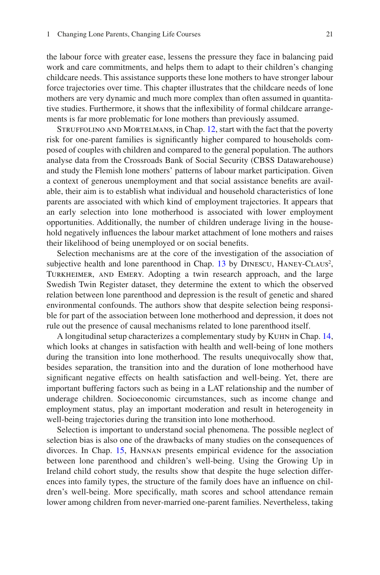the labour force with greater ease, lessens the pressure they face in balancing paid work and care commitments, and helps them to adapt to their children's changing childcare needs. This assistance supports these lone mothers to have stronger labour force trajectories over time. This chapter illustrates that the childcare needs of lone mothers are very dynamic and much more complex than often assumed in quantitative studies. Furthermore, it shows that the inflexibility of formal childcare arrangements is far more problematic for lone mothers than previously assumed.

STRUFFOLINO AND MORTELMANS, in Chap. [12](https://doi.org/10.1007/978-3-319-63295-7_12), start with the fact that the poverty risk for one-parent families is significantly higher compared to households composed of couples with children and compared to the general population. The authors analyse data from the Crossroads Bank of Social Security (CBSS Datawarehouse) and study the Flemish lone mothers' patterns of labour market participation. Given a context of generous unemployment and that social assistance benefits are available, their aim is to establish what individual and household characteristics of lone parents are associated with which kind of employment trajectories. It appears that an early selection into lone motherhood is associated with lower employment opportunities. Additionally, the number of children underage living in the household negatively influences the labour market attachment of lone mothers and raises their likelihood of being unemployed or on social benefits.

Selection mechanisms are at the core of the investigation of the association of subjective health and lone parenthood in Chap.  $13$  by DINESCU, HANEY-CLAUS<sup>2</sup>, Turkheimer, and Emery. Adopting a twin research approach, and the large Swedish Twin Register dataset, they determine the extent to which the observed relation between lone parenthood and depression is the result of genetic and shared environmental confounds. The authors show that despite selection being responsible for part of the association between lone motherhood and depression, it does not rule out the presence of causal mechanisms related to lone parenthood itself.

A longitudinal setup characterizes a complementary study by Kuhn in Chap. [14](https://doi.org/10.1007/978-3-319-63295-7_14), which looks at changes in satisfaction with health and well-being of lone mothers during the transition into lone motherhood. The results unequivocally show that, besides separation, the transition into and the duration of lone motherhood have significant negative effects on health satisfaction and well-being. Yet, there are important buffering factors such as being in a LAT relationship and the number of underage children. Socioeconomic circumstances, such as income change and employment status, play an important moderation and result in heterogeneity in well-being trajectories during the transition into lone motherhood.

Selection is important to understand social phenomena. The possible neglect of selection bias is also one of the drawbacks of many studies on the consequences of divorces. In Chap. [15,](https://doi.org/10.1007/978-3-319-63295-7_15) Hannan presents empirical evidence for the association between lone parenthood and children's well-being. Using the Growing Up in Ireland child cohort study, the results show that despite the huge selection differences into family types, the structure of the family does have an influence on children's well-being. More specifically, math scores and school attendance remain lower among children from never-married one-parent families. Nevertheless, taking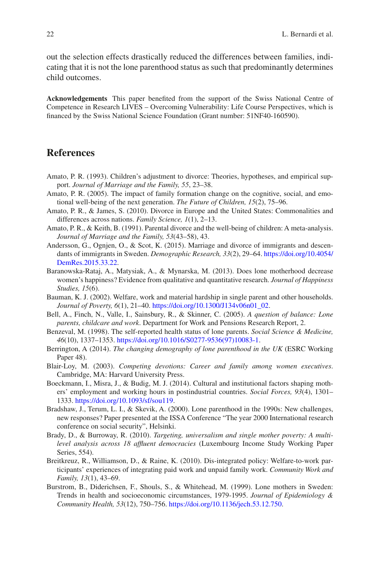out the selection effects drastically reduced the differences between families, indicating that it is not the lone parenthood status as such that predominantly determines child outcomes.

**Acknowledgements** This paper benefited from the support of the Swiss National Centre of Competence in Research LIVES – Overcoming Vulnerability: Life Course Perspectives, which is financed by the Swiss National Science Foundation (Grant number: 51NF40-160590).

#### **References**

- <span id="page-21-9"></span>Amato, P. R. (1993). Children's adjustment to divorce: Theories, hypotheses, and empirical support. *Journal of Marriage and the Family, 55*, 23–38.
- <span id="page-21-13"></span>Amato, P. R. (2005). The impact of family formation change on the cognitive, social, and emotional well-being of the next generation. *The Future of Children, 15*(2), 75–96.
- <span id="page-21-14"></span>Amato, P. R., & James, S. (2010). Divorce in Europe and the United States: Commonalities and differences across nations. *Family Science, 1*(1), 2–13.
- <span id="page-21-12"></span>Amato, P. R., & Keith, B. (1991). Parental divorce and the well-being of children: A meta-analysis. *Journal of Marriage and the Family, 53*(43–58), 43.
- <span id="page-21-8"></span>Andersson, G., Ognjen, O., & Scot, K. (2015). Marriage and divorce of immigrants and descendants of immigrants in Sweden. *Demographic Research, 33*(2), 29–64. [https://doi.org/10.4054/](https://doi.org/10.4054/DemRes.2015.33.22) [DemRes.2015.33.22.](https://doi.org/10.4054/DemRes.2015.33.22)
- <span id="page-21-15"></span>Baranowska-Rataj, A., Matysiak, A., & Mynarska, M. (2013). Does lone motherhood decrease women's happiness? Evidence from qualitative and quantitative research. *Journal of Happiness Studies, 15*(6).
- <span id="page-21-2"></span>Bauman, K. J. (2002). Welfare, work and material hardship in single parent and other households. *Journal of Poverty, 6*(1), 21–40. [https://doi.org/10.1300/J134v06n01\\_02.](https://doi.org/10.1300/J134v06n01_02)
- <span id="page-21-3"></span>Bell, A., Finch, N., Valle, I., Sainsbury, R., & Skinner, C. (2005). *A question of balance: Lone parents, childcare and work*. Department for Work and Pensions Research Report, 2.
- <span id="page-21-6"></span>Benzeval, M. (1998). The self-reported health status of lone parents. *Social Science & Medicine, 46*(10), 1337–1353. [https://doi.org/10.1016/S0277-9536\(97\)10083-1](https://doi.org/10.1016/S0277-9536(97)10083-1).
- <span id="page-21-0"></span>Berrington, A (2014). *The changing demography of lone parenthood in the UK* (ESRC Working Paper 48).
- <span id="page-21-10"></span>Blair-Loy, M. (2003). *Competing devotions: Career and family among women executives*. Cambridge, MA: Harvard University Press.
- <span id="page-21-4"></span>Boeckmann, I., Misra, J., & Budig, M. J. (2014). Cultural and institutional factors shaping mothers' employment and working hours in postindustrial countries. *Social Forces, 93*(4), 1301– 1333.<https://doi.org/10.1093/sf/sou119>.
- <span id="page-21-1"></span>Bradshaw, J., Terum, L. I., & Skevik, A. (2000). Lone parenthood in the 1990s: New challenges, new responses? Paper presented at the ISSA Conference "The year 2000 International research conference on social security", Helsinki.
- <span id="page-21-5"></span>Brady, D., & Burroway, R. (2010). *Targeting, universalism and single mother poverty: A multilevel analysis across 18 affluent democracies* (Luxembourg Income Study Working Paper Series, 554).
- <span id="page-21-11"></span>Breitkreuz, R., Williamson, D., & Raine, K. (2010). Dis-integrated policy: Welfare-to-work participants' experiences of integrating paid work and unpaid family work. *Community Work and Family, 13*(1), 43–69.
- <span id="page-21-7"></span>Burstrom, B., Diderichsen, F., Shouls, S., & Whitehead, M. (1999). Lone mothers in Sweden: Trends in health and socioeconomic circumstances, 1979-1995. *Journal of Epidemiology & Community Health, 53*(12), 750–756. [https://doi.org/10.1136/jech.53.12.750.](https://doi.org/10.1136/jech.53.12.750)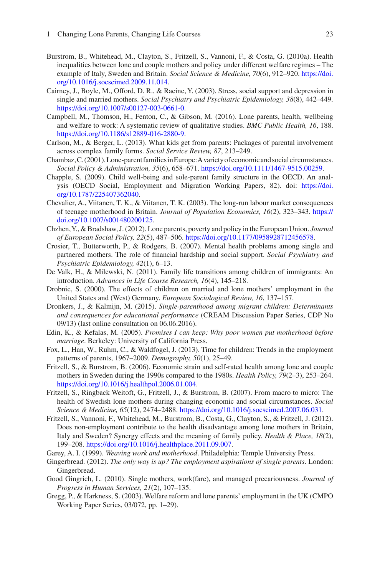- <span id="page-22-11"></span>Burstrom, B., Whitehead, M., Clayton, S., Fritzell, S., Vannoni, F., & Costa, G. (2010a). Health inequalities between lone and couple mothers and policy under different welfare regimes – The example of Italy, Sweden and Britain. *Social Science & Medicine, 70*(6), 912–920. [https://doi.](https://doi.org/10.1016/j.socscimed.2009.11.014) [org/10.1016/j.socscimed.2009.11.014.](https://doi.org/10.1016/j.socscimed.2009.11.014)
- <span id="page-22-8"></span>Cairney, J., Boyle, M., Offord, D. R., & Racine, Y. (2003). Stress, social support and depression in single and married mothers. *Social Psychiatry and Psychiatric Epidemiology, 38*(8), 442–449. <https://doi.org/10.1007/s00127-003-0661-0>.
- <span id="page-22-19"></span>Campbell, M., Thomson, H., Fenton, C., & Gibson, M. (2016). Lone parents, health, wellbeing and welfare to work: A systematic review of qualitative studies. *BMC Public Health, 16*, 188. <https://doi.org/10.1186/s12889-016-2880-9>.
- <span id="page-22-17"></span>Carlson, M., & Berger, L. (2013). What kids get from parents: Packages of parental involvement across complex family forms. *Social Service Review, 87*, 213–249.
- <span id="page-22-0"></span>Chambaz, C. (2001). Lone-parent families in Europe: A variety of economic and social circumstances. *Social Policy & Administration, 35*(6), 658–671. <https://doi.org/10.1111/1467-9515.00259>.
- <span id="page-22-1"></span>Chapple, S. (2009). Child well-being and sole-parent family structure in the OECD. An analysis (OECD Social, Employment and Migration Working Papers, 82). doi: [https://doi.](https://doi.org/10.1787/225407362040) [org/10.1787/225407362040](https://doi.org/10.1787/225407362040).
- <span id="page-22-4"></span>Chevalier, A., Viitanen, T. K., & Viitanen, T. K. (2003). The long-run labour market consequences of teenage motherhood in Britain. *Journal of Population Economics, 16*(2), 323–343. [https://](https://doi.org/10.1007/s001480200125) [doi.org/10.1007/s001480200125.](https://doi.org/10.1007/s001480200125)
- <span id="page-22-6"></span>Chzhen, Y., & Bradshaw, J. (2012). Lone parents, poverty and policy in the European Union. *Journal of European Social Policy, 22*(5), 487–506. [https://doi.org/10.1177/0958928712456578.](https://doi.org/10.1177/0958928712456578)
- <span id="page-22-7"></span>Crosier, T., Butterworth, P., & Rodgers, B. (2007). Mental health problems among single and partnered mothers. The role of financial hardship and social support. *Social Psychiatry and Psychiatric Epidemiology, 42*(1), 6–13.
- <span id="page-22-13"></span>De Valk, H., & Milewski, N. (2011). Family life transitions among children of immigrants: An introduction. *Advances in Life Course Research, 16*(4), 145–218.
- <span id="page-22-3"></span>Drobnic, S. (2000). The effects of children on married and lone mothers' employment in the United States and (West) Germany. *European Sociological Review, 16*, 137–157.
- <span id="page-22-15"></span>Dronkers, J., & Kalmijn, M. (2015). *Single-parenthood among migrant children: Determinants and consequences for educational performance* (CREAM Discussion Paper Series, CDP No 09/13) (last online consultation on 06.06.2016).
- <span id="page-22-14"></span>Edin, K., & Kefalas, M. (2005). *Promises I can keep: Why poor women put motherhood before marriage*. Berkeley: University of California Press.
- <span id="page-22-16"></span>Fox, L., Han, W., Ruhm, C., & Waldfogel, J. (2013). Time for children: Trends in the employment patterns of parents, 1967–2009. *Demography, 50*(1), 25–49.
- <span id="page-22-9"></span>Fritzell, S., & Burstrom, B. (2006). Economic strain and self-rated health among lone and couple mothers in Sweden during the 1990s compared to the 1980s. *Health Policy, 79*(2–3), 253–264. [https://doi.org/10.1016/j.healthpol.2006.01.004.](https://doi.org/10.1016/j.healthpol.2006.01.004)
- <span id="page-22-10"></span>Fritzell, S., Ringback Weitoft, G., Fritzell, J., & Burstrom, B. (2007). From macro to micro: The health of Swedish lone mothers during changing economic and social circumstances. *Social Science & Medicine, 65*(12), 2474–2488. [https://doi.org/10.1016/j.socscimed.2007.06.031.](https://doi.org/10.1016/j.socscimed.2007.06.031)
- <span id="page-22-12"></span>Fritzell, S., Vannoni, F., Whitehead, M., Burstrom, B., Costa, G., Clayton, S., & Fritzell, J. (2012). Does non-employment contribute to the health disadvantage among lone mothers in Britain, Italy and Sweden? Synergy effects and the meaning of family policy. *Health & Place, 18*(2), 199–208. [https://doi.org/10.1016/j.healthplace.2011.09.007.](https://doi.org/10.1016/j.healthplace.2011.09.007)
- <span id="page-22-18"></span>Garey, A. I. (1999). *Weaving work and motherhood*. Philadelphia: Temple University Press.
- <span id="page-22-5"></span>Gingerbread. (2012). *The only way is up? The employment aspirations of single parents*. London: Gingerbread.
- <span id="page-22-20"></span>Good Gingrich, L. (2010). Single mothers, work(fare), and managed precariousness. *Journal of Progress in Human Services, 21*(2), 107–135.
- <span id="page-22-2"></span>Gregg, P., & Harkness, S. (2003). Welfare reform and lone parents' employment in the UK (CMPO Working Paper Series, 03/072, pp. 1–29).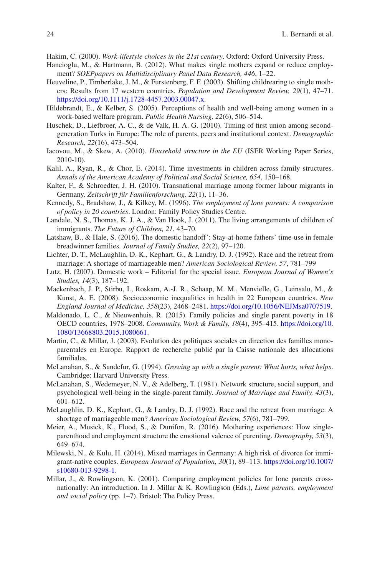- <span id="page-23-4"></span>Hakim, C. (2000). *Work-lifestyle choices in the 21st century*. Oxford: Oxford University Press.
- <span id="page-23-3"></span>Hancioglu, M., & Hartmann, B. (2012). What makes single mothers expand or reduce employment? *SOEPpapers on Multidisciplinary Panel Data Research, 446*, 1–22.
- <span id="page-23-5"></span>Heuveline, P., Timberlake, J. M., & Furstenberg, F. F. (2003). Shifting childrearing to single mothers: Results from 17 western countries. *Population and Development Review, 29*(1), 47–71. <https://doi.org/10.1111/j.1728-4457.2003.00047.x>.
- <span id="page-23-19"></span>Hildebrandt, E., & Kelber, S. (2005). Perceptions of health and well-being among women in a work-based welfare program. *Public Health Nursing, 22*(6), 506–514.
- <span id="page-23-8"></span>Huschek, D., Liefbroer, A. C., & de Valk, H. A. G. (2010). Timing of first union among secondgeneration Turks in Europe: The role of parents, peers and institutional context. *Demographic Research, 22*(16), 473–504.
- <span id="page-23-1"></span>Iacovou, M., & Skew, A. (2010). *Household structure in the EU* (ISER Working Paper Series, 2010-10).
- <span id="page-23-16"></span>Kalil, A., Ryan, R., & Chor, E. (2014). Time investments in children across family structures. *Annals of the American Academy of Political and Social Science, 654*, 150–168.
- <span id="page-23-9"></span>Kalter, F., & Schroedter, J. H. (2010). Transnational marriage among former labour migrants in Germany. *Zeitschrift für Familienforschung, 22*(1), 11–36.
- <span id="page-23-0"></span>Kennedy, S., Bradshaw, J., & Kilkey, M. (1996). *The employment of lone parents: A comparison of policy in 20 countries*. London: Family Policy Studies Centre.
- <span id="page-23-10"></span>Landale, N. S., Thomas, K. J. A., & Van Hook, J. (2011). The living arrangements of children of immigrants. *The Future of Children, 21*, 43–70.
- <span id="page-23-17"></span>Latshaw, B., & Hale, S. (2016). The domestic handoff': Stay-at-home fathers' time-use in female breadwinner families. *Journal of Family Studies, 22*(2), 97–120.
- <span id="page-23-13"></span>Lichter, D. T., McLaughlin, D. K., Kephart, G., & Landry, D. J. (1992). Race and the retreat from marriage: A shortage of marriageable men? *American Sociological Review, 57*, 781–799
- <span id="page-23-12"></span>Lutz, H. (2007). Domestic work – Editorial for the special issue. *European Journal of Women's Studies, 14*(3), 187–192.
- <span id="page-23-7"></span>Mackenbach, J. P., Stirbu, I., Roskam, A.-J. R., Schaap, M. M., Menvielle, G., Leinsalu, M., & Kunst, A. E. (2008). Socioeconomic inequalities in health in 22 European countries. *New England Journal of Medicine, 358*(23), 2468–2481.<https://doi.org/10.1056/NEJMsa0707519>.
- <span id="page-23-6"></span>Maldonado, L. C., & Nieuwenhuis, R. (2015). Family policies and single parent poverty in 18 OECD countries, 1978–2008. *Community, Work & Family, 18*(4), 395–415. [https://doi.org/10.](https://doi.org/10.1080/13668803.2015.1080661) [1080/13668803.2015.1080661](https://doi.org/10.1080/13668803.2015.1080661).
- <span id="page-23-21"></span>Martin, C., & Millar, J. (2003). Evolution des politiques sociales en direction des familles monoparentales en Europe. Rapport de recherche publié par la Caisse nationale des allocations familiales.
- <span id="page-23-20"></span>McLanahan, S., & Sandefur, G. (1994). *Growing up with a single parent: What hurts, what helps*. Cambridge: Harvard University Press.
- <span id="page-23-15"></span>McLanahan, S., Wedemeyer, N. V., & Adelberg, T. (1981). Network structure, social support, and psychological well-being in the single-parent family. *Journal of Marriage and Family, 43*(3), 601–612.
- <span id="page-23-14"></span>McLaughlin, D. K., Kephart, G., & Landry, D. J. (1992). Race and the retreat from marriage: A shortage of marriageable men? *American Sociological Review, 57*(6), 781–799.
- <span id="page-23-18"></span>Meier, A., Musick, K., Flood, S., & Dunifon, R. (2016). Mothering experiences: How singleparenthood and employment structure the emotional valence of parenting. *Demography, 53*(3), 649–674.
- <span id="page-23-11"></span>Milewski, N., & Kulu, H. (2014). Mixed marriages in Germany: A high risk of divorce for immigrant-native couples. *European Journal of Population, 30*(1), 89–113. [https://doi.org/10.1007/](https://doi.org/10.1007/s10680-013-9298-1) [s10680-013-9298-1.](https://doi.org/10.1007/s10680-013-9298-1)
- <span id="page-23-2"></span>Millar, J., & Rowlingson, K. (2001). Comparing employment policies for lone parents crossnationally: An introduction. In J. Millar & K. Rowlingson (Eds.), *Lone parents, employment and social policy* (pp. 1–7). Bristol: The Policy Press.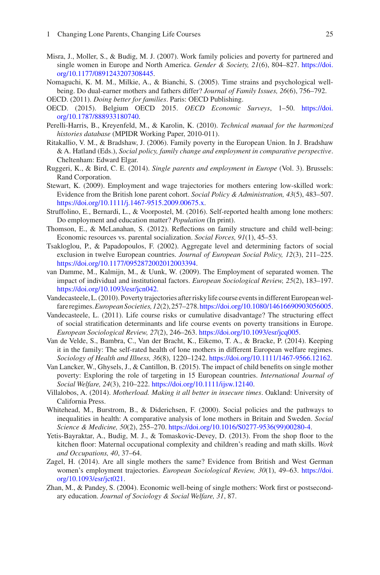- <span id="page-24-20"></span>Misra, J., Moller, S., & Budig, M. J. (2007). Work family policies and poverty for partnered and single women in Europe and North America. *Gender & Society, 21*(6), 804–827. [https://doi.](https://doi.org/10.1177/0891243207308445) [org/10.1177/0891243207308445](https://doi.org/10.1177/0891243207308445).
- <span id="page-24-15"></span>Nomaguchi, K. M. M., Milkie, A., & Bianchi, S. (2005). Time strains and psychological wellbeing. Do dual-earner mothers and fathers differ? *Journal of Family Issues, 26*(6), 756–792.
- <span id="page-24-1"></span>OECD. (2011). *Doing better for families*. Paris: OECD Publishing.
- <span id="page-24-0"></span>OECD. (2015). Belgium OECD 2015. *OECD Economic Surveys*, 1–50. [https://doi.](https://doi.org/10.1787/888933180740) [org/10.1787/888933180740](https://doi.org/10.1787/888933180740).
- <span id="page-24-2"></span>Perelli-Harris, B., Kreyenfeld, M., & Karolin, K. (2010). *Technical manual for the harmonized histories database* (MPIDR Working Paper, 2010-011).
- <span id="page-24-9"></span>Ritakallio, V. M., & Bradshaw, J. (2006). Family poverty in the European Union. In J. Bradshaw & A. Hatland (Eds.), *Social policy, family change and employment in comparative perspective*. Cheltenham: Edward Elgar.
- <span id="page-24-3"></span>Ruggeri, K., & Bird, C. E. (2014). *Single parents and employment in Europe* (Vol. 3). Brussels: Rand Corporation.
- <span id="page-24-4"></span>Stewart, K. (2009). Employment and wage trajectories for mothers entering low-skilled work: Evidence from the British lone parent cohort. *Social Policy & Administration, 43*(5), 483–507. <https://doi.org/10.1111/j.1467-9515.2009.00675.x>.
- <span id="page-24-18"></span>Struffolino, E., Bernardi, L., & Voorpostel, M. (2016). Self-reported health among lone mothers: Do employment and education matter? *Population* (In print).
- <span id="page-24-19"></span>Thomson, E., & McLanahan, S. (2012). Reflections on family structure and child well-being: Economic resources vs. parental socialization. *Social Forces, 91*(1), 45–53.
- <span id="page-24-10"></span>Tsakloglou, P., & Papadopoulos, F. (2002). Aggregate level and determining factors of social exclusion in twelve European countries. *Journal of European Social Policy, 12*(3), 211–225. [https://doi.org/10.1177/0952872002012003394.](https://doi.org/10.1177/0952872002012003394)
- <span id="page-24-7"></span>van Damme, M., Kalmijn, M., & Uunk, W. (2009). The Employment of separated women. The impact of individual and institutional factors. *European Sociological Review, 25*(2), 183–197. <https://doi.org/10.1093/esr/jcn042.>
- <span id="page-24-11"></span>Vandecasteele, L. (2010). Poverty trajectories after risky life course events in different European welfare regimes. *European Societies, 12*(2), 257–278.<https://doi.org/10.1080/14616690903056005>.
- <span id="page-24-12"></span>Vandecasteele, L. (2011). Life course risks or cumulative disadvantage? The structuring effect of social stratification determinants and life course events on poverty transitions in Europe. *European Sociological Review, 27*(2), 246–263. [https://doi.org/10.1093/esr/jcq005.](https://doi.org/10.1093/esr/jcq005)
- <span id="page-24-14"></span>Van de Velde, S., Bambra, C., Van der Bracht, K., Eikemo, T. A., & Bracke, P. (2014). Keeping it in the family: The self-rated health of lone mothers in different European welfare regimes. *Sociology of Health and Illness, 36*(8), 1220–1242. <https://doi.org/10.1111/1467-9566.12162>.
- <span id="page-24-8"></span>Van Lancker, W., Ghysels, J., & Cantillon, B. (2015). The impact of child benefits on single mother poverty: Exploring the role of targeting in 15 European countries. *International Journal of Social Welfare, 24*(3), 210–222. [https://doi.org/10.1111/ijsw.12140.](https://doi.org/10.1111/ijsw.12140)
- <span id="page-24-17"></span>Villalobos, A. (2014). *Motherload. Making it all better in insecure times*. Oakland: University of California Press.
- <span id="page-24-13"></span>Whitehead, M., Burstrom, B., & Diderichsen, F. (2000). Social policies and the pathways to inequalities in health: A comparative analysis of lone mothers in Britain and Sweden. *Social Science & Medicine, 50*(2), 255–270. [https://doi.org/10.1016/S0277-9536\(99\)00280-4](https://doi.org/10.1016/S0277-9536(99)00280-4).
- <span id="page-24-16"></span>Yetis-Bayraktar, A., Budig, M. J., & Tomaskovic-Devey, D. (2013). From the shop floor to the kitchen floor: Maternal occupational complexity and children's reading and math skills. *Work and Occupations, 40*, 37–64.
- <span id="page-24-5"></span>Zagel, H. (2014). Are all single mothers the same? Evidence from British and West German women's employment trajectories. *European Sociological Review, 30*(1), 49–63. [https://doi.](https://doi.org/10.1093/esr/jct021) [org/10.1093/esr/jct021.](https://doi.org/10.1093/esr/jct021)
- <span id="page-24-6"></span>Zhan, M., & Pandey, S. (2004). Economic well-being of single mothers: Work first or postsecondary education. *Journal of Sociology & Social Welfare, 31*, 87.